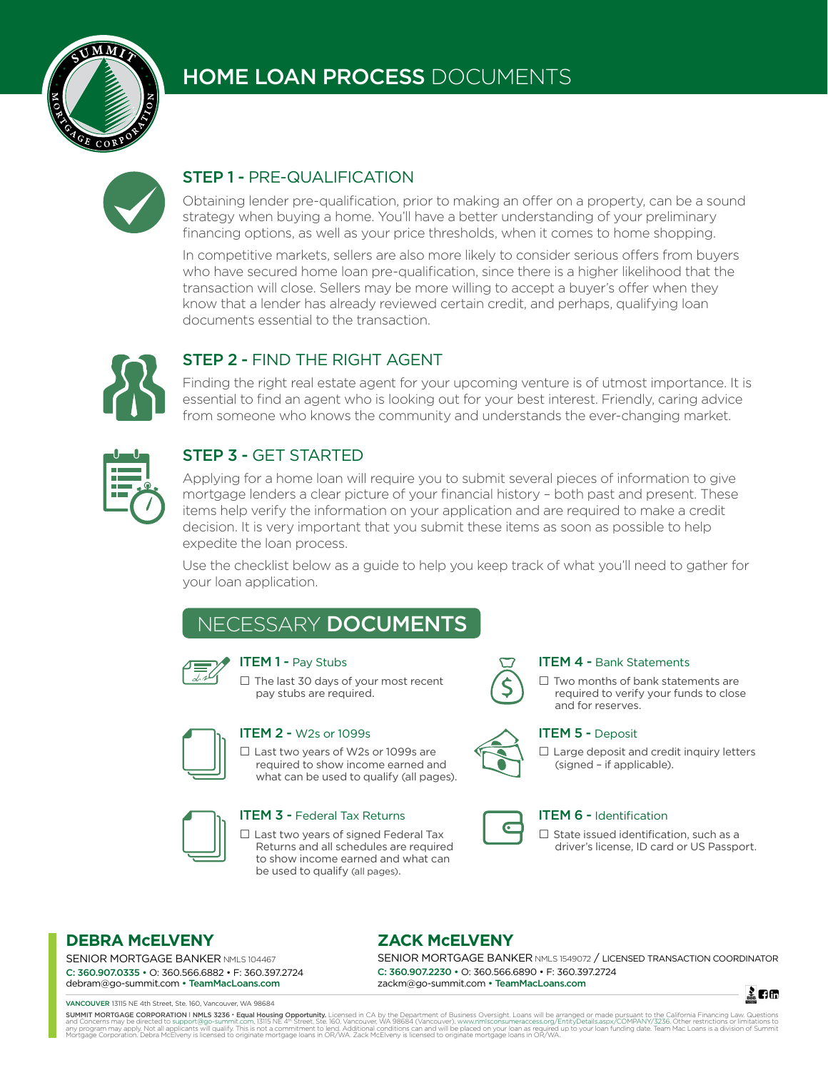

# HOME LOAN PROCESS DOCUMENTS



## STEP 1 - PRE-QUALIFICATION

Obtaining lender pre-qualification, prior to making an offer on a property, can be a sound strategy when buying a home. You'll have a better understanding of your preliminary financing options, as well as your price thresholds, when it comes to home shopping.

In competitive markets, sellers are also more likely to consider serious offers from buyers who have secured home loan pre-qualification, since there is a higher likelihood that the transaction will close. Sellers may be more willing to accept a buyer's offer when they know that a lender has already reviewed certain credit, and perhaps, qualifying loan documents essential to the transaction.



## STEP 2 - FIND THE RIGHT AGENT

Finding the right real estate agent for your upcoming venture is of utmost importance. It is essential to find an agent who is looking out for your best interest. Friendly, caring advice from someone who knows the community and understands the ever-changing market.

| ٠ |
|---|
|   |

#### STEP 3 - GET STARTED

Applying for a home loan will require you to submit several pieces of information to give mortgage lenders a clear picture of your financial history – both past and present. These items help verify the information on your application and are required to make a credit decision. It is very important that you submit these items as soon as possible to help expedite the loan process.

Use the checklist below as a guide to help you keep track of what you'll need to gather for your loan application.

# NECESSARY DOCUMENTS



#### **ITEM 1 - Pay Stubs**

□ The last 30 days of your most recent pay stubs are required.



#### ITEM 2 - W2s or 1099s

**□** Last two years of W2s or 1099s are required to show income earned and what can be used to qualify (all pages).



#### **ITEM 3 - Federal Tax Returns**

**□** Last two years of signed Federal Tax Returns and all schedules are required to show income earned and what can be used to qualify (all pages).



#### ITEM 4 - Bank Statements

**□** Two months of bank statements are required to verify your funds to close and for reserves.



#### **ITEM 5 - Deposit**

**□** Large deposit and credit inquiry letters (signed – if applicable).



#### ITEM 6 - Identification

**□** State issued identification, such as a driver's license, ID card or US Passport.

#### **DEBRA McELVENY**

SENIOR MORTGAGE BANKER NMLS 104467 C: 360.907.0335 • O: 360.566.6882 • F: 360.397.2724 debram@go-summit.com • TeamMacLoans.com

VANCOUVER 13115 NE 4th Street, Ste. 160, Vancouver, WA 98684

## **ZACK McELVENY**

SENIOR MORTGAGE BANKER NMLS 1549072 / LICENSED TRANSACTION COORDINATOR C: 360.907.2230 • O: 360.566.6890 • F: 360.397.2724 zackm@go-summit.com • TeamMacLoans.com

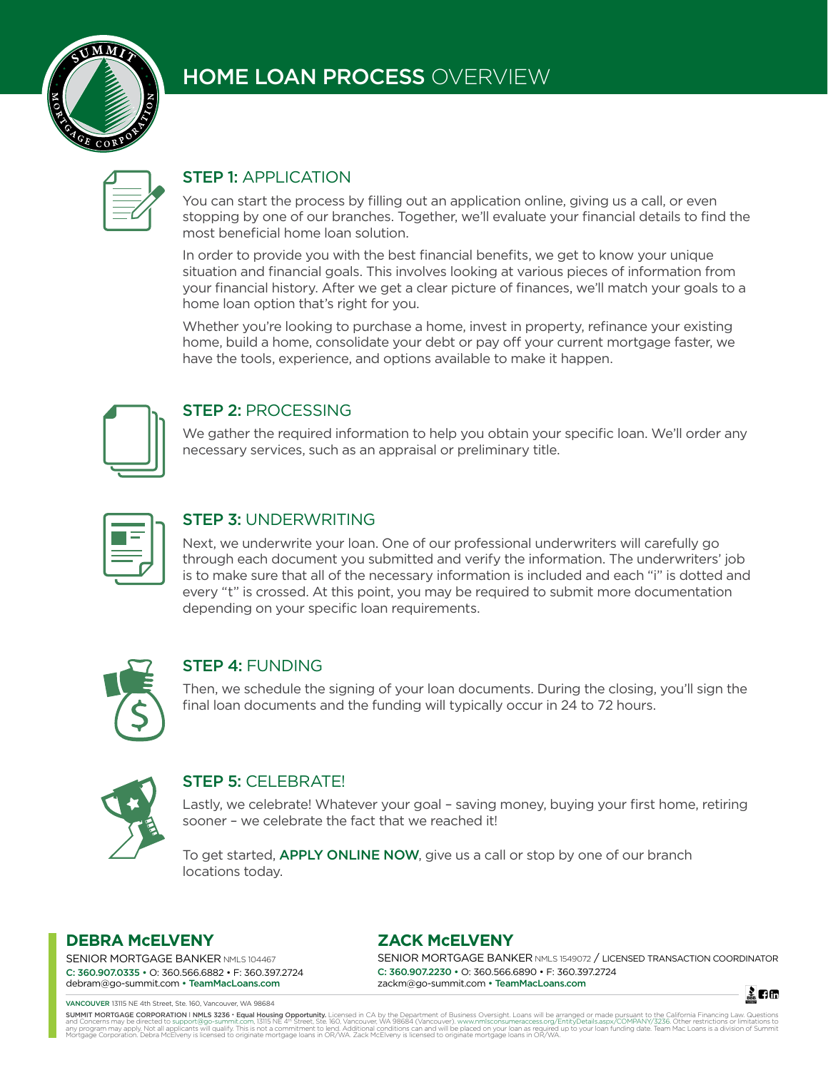

# HOME LOAN PROCESS OVERVIEW

## STEP 1: APPLICATION

You can start the process by filling out an application online, giving us a call, or even stopping by one of our branches. Together, we'll evaluate your financial details to find the most beneficial home loan solution.

In order to provide you with the best financial benefits, we get to know your unique situation and financial goals. This involves looking at various pieces of information from your financial history. After we get a clear picture of finances, we'll match your goals to a home loan option that's right for you.

Whether you're looking to purchase a home, invest in property, refinance your existing home, build a home, consolidate your debt or pay off your current mortgage faster, we have the tools, experience, and options available to make it happen.



#### STEP 2: PROCESSING

We gather the required information to help you obtain your specific loan. We'll order any necessary services, such as an appraisal or preliminary title.

#### STEP 3: UNDERWRITING

Next, we underwrite your loan. One of our professional underwriters will carefully go through each document you submitted and verify the information. The underwriters' job is to make sure that all of the necessary information is included and each "i" is dotted and every "t" is crossed. At this point, you may be required to submit more documentation depending on your specific loan requirements.



## STEP 4: FUNDING

Then, we schedule the signing of your loan documents. During the closing, you'll sign the final loan documents and the funding will typically occur in 24 to 72 hours.



## STEP 5: CELEBRATE!

Lastly, we celebrate! Whatever your goal – saving money, buying your first home, retiring sooner – we celebrate the fact that we reached it!

To get started, **APPLY ONLINE NOW**, give us a call or stop by one of our branch locations today.

#### **DEBRA McELVENY**

SENIOR MORTGAGE BANKER NMLS 104467 C: 360.907.0335 • O: 360.566.6882 • F: 360.397.2724 debram@go-summit.com • TeamMacLoans.com

VANCOUVER 13115 NE 4th Street, Ste. 160, Vancouver, WA 98684

#### **ZACK McELVENY**

SENIOR MORTGAGE BANKER NMLS 1549072 / LICENSED TRANSACTION COORDINATOR C: 360.907.2230 • O: 360.566.6890 • F: 360.397.2724 zackm@go-summit.com • TeamMacLoans.com



SUMMIT MORTGAGE CORPORATION I NMLS 3236 \* Equal Housing Opportunity. Licensed in CA by the Department of Business Oversight. Loans will be arranged or made pursuant to the California Financing Law, Outostons or limitations any program may applismant and applicants will qualify. This is not a commitment to lend. Additional conditions can and will be placed on your loan srequired up to your loan funding date. Team Mac Loans is a division of Su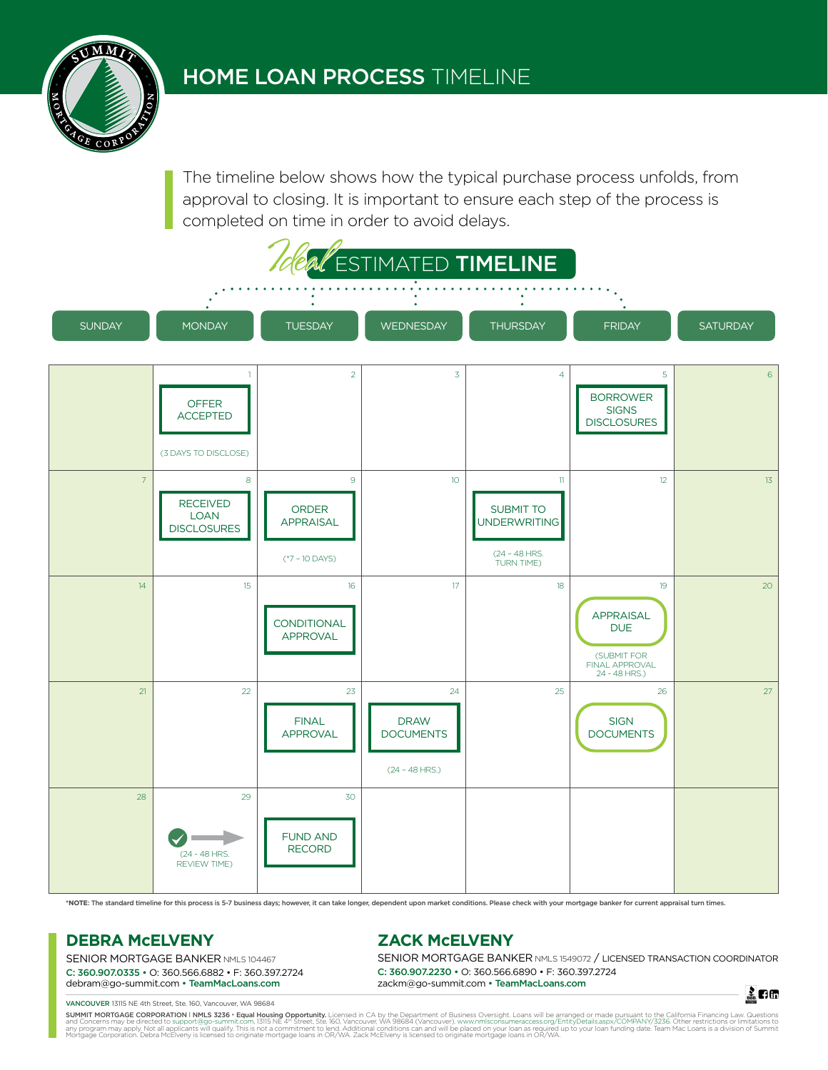The timeline below shows how the typical purchase process unfolds, from approval to closing. It is important to ensure each step of the process is completed on time in order to avoid delays.



**\*NOTE**: The standard timeline for this process is 5-7 business days; however, it can take longer, dependent upon market conditions. Please check with your mortgage banker for current appraisal turn times.

#### **DEBRA McELVENY**

SENIOR MORTGAGE BANKER NMLS 104467 C: 360.907.0335 • O: 360.566.6882 • F: 360.397.2724 debram@go-summit.com • TeamMacLoans.com

#### **ZACK McELVENY**

SENIOR MORTGAGE BANKER NMLS 1549072 / LICENSED TRANSACTION COORDINATOR C: 360.907.2230 • O: 360.566.6890 • F: 360.397.2724 zackm@go-summit.com • TeamMacLoans.com

孟日田

VANCOUVER 13115 NE 4th Street, Ste. 160, Vancouver, WA 98684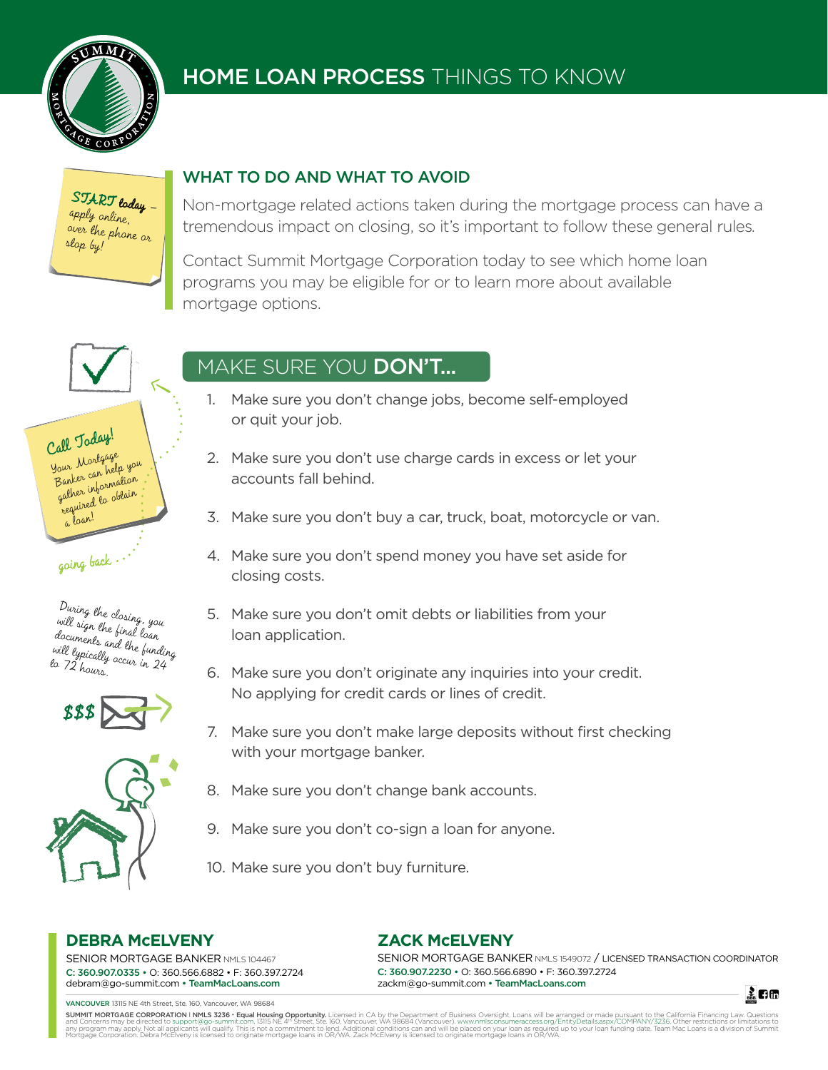

# HOME LOAN PROCESS THINGS TO KNOW

START today apply online, over the phone or stop by!

## WHAT TO DO AND WHAT TO AVOID

Non-mortgage related actions taken during the mortgage process can have a tremendous impact on closing, so it's important to follow these general rules.

Contact Summit Mortgage Corporation today to see which home loan programs you may be eligible for or to learn more about available mortgage options.

#### Call Today! Your Mortgage Banker can help you gather information required to obtain

going back

a loan!







# MAKE SURE YOU DON'T...

- 1. Make sure you don't change jobs, become self-employed or quit your job.
- 2. Make sure you don't use charge cards in excess or let your accounts fall behind.
- 3. Make sure you don't buy a car, truck, boat, motorcycle or van.
- 4. Make sure you don't spend money you have set aside for closing costs.
- 5. Make sure you don't omit debts or liabilities from your loan application.
- 6. Make sure you don't originate any inquiries into your credit. No applying for credit cards or lines of credit.
- 7. Make sure you don't make large deposits without first checking with your mortgage banker.
- 8. Make sure you don't change bank accounts.
- 9. Make sure you don't co-sign a loan for anyone.
- 10. Make sure you don't buy furniture.

## **DEBRA McELVENY**

SENIOR MORTGAGE BANKER NMLS 104467 C: 360.907.0335 • O: 360.566.6882 • F: 360.397.2724 debram@go-summit.com • TeamMacLoans.com

VANCOUVER 13115 NE 4th Street, Ste. 160, Vancouver, WA 98684

## **ZACK McELVENY**

SENIOR MORTGAGE BANKER NMLS 1549072 / LICENSED TRANSACTION COORDINATOR C: 360.907.2230 • O: 360.566.6890 • F: 360.397.2724 zackm@go-summit.com • TeamMacLoans.com

孟日面